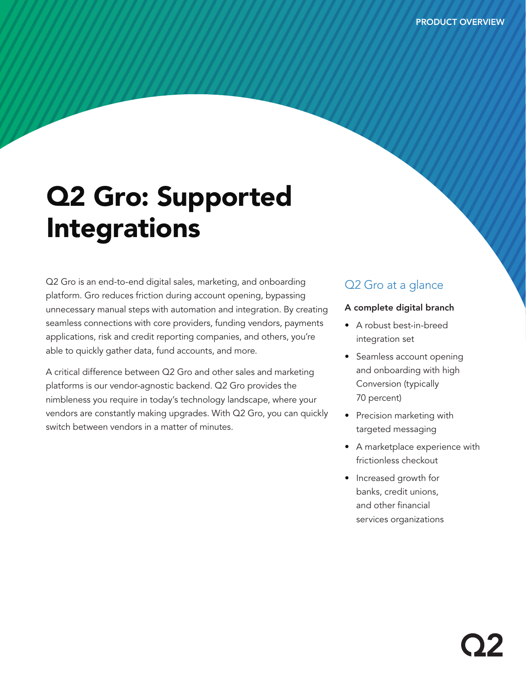# Q2 Gro: Supported Integrations

Q2 Gro is an end-to-end digital sales, marketing, and onboarding platform. Gro reduces friction during account opening, bypassing unnecessary manual steps with automation and integration. By creating seamless connections with core providers, funding vendors, payments applications, risk and credit reporting companies, and others, you're able to quickly gather data, fund accounts, and more.

A critical difference between Q2 Gro and other sales and marketing platforms is our vendor-agnostic backend. Q2 Gro provides the nimbleness you require in today's technology landscape, where your vendors are constantly making upgrades. With Q2 Gro, you can quickly switch between vendors in a matter of minutes.

### Q<sub>2</sub> Gro at a glance

#### A complete digital branch

- A robust best-in-breed integration set
- Seamless account opening and onboarding with high Conversion (typically 70 percent)
- Precision marketing with targeted messaging
- A marketplace experience with frictionless checkout
- Increased growth for banks, credit unions, and other financial services organizations